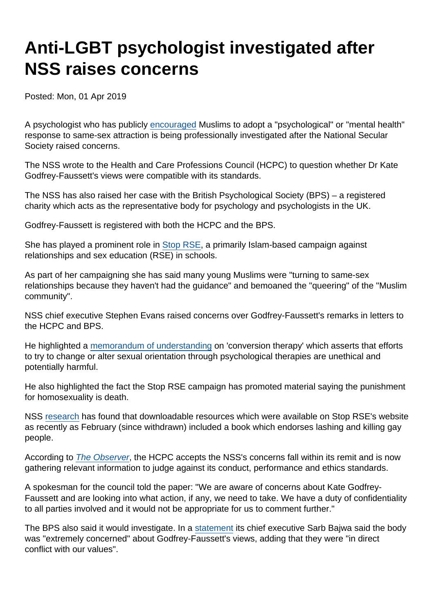# Anti-LGBT psychologist investigated after NSS raises concerns

Posted: Mon, 01 Apr 2019

A psychologist who has publicly [encouraged](https://www.secularism.org.uk/news/2019/02/nss-dfe-must-stand-up-to-religiousbullying-oversex-education) Muslims to adopt a "psychological" or "mental health" response to same-sex attraction is being professionally investigated after the National Secular Society raised concerns.

The NSS wrote to the Health and Care Professions Council (HCPC) to question whether Dr Kate Godfrey-Faussett's views were compatible with its standards.

The NSS has also raised her case with the British Psychological Society (BPS) – a registered charity which acts as the representative body for psychology and psychologists in the UK.

Godfrey-Faussett is registered with both the HCPC and the BPS.

She has played a prominent role in [Stop RSE](https://stoprse.com/), a primarily Islam-based campaign against relationships and sex education (RSE) in schools.

As part of her campaigning she has said many young Muslims were "turning to same-sex relationships because they haven't had the guidance" and bemoaned the "queering" of the "Muslim community".

NSS chief executive Stephen Evans raised concerns over Godfrey-Faussett's remarks in letters to the HCPC and BPS.

He highlighted a [memorandum of understanding](https://www.psychotherapy.org.uk/wp-content/uploads/2016/09/Memorandum-of-understanding-on-conversion-therapy.pdf) on 'conversion therapy' which asserts that efforts to try to change or alter sexual orientation through psychological therapies are unethical and potentially harmful.

He also highlighted the fact the Stop RSE campaign has promoted material saying the punishment for homosexuality is death.

NSS [research](https://www.secularism.org.uk/uploads/stop-rse-campaign-evidence-dossier.pdf) has found that downloadable resources which were available on Stop RSE's website as recently as February (since withdrawn) included a book which endorses lashing and killing gay people.

According to [The Observer](https://www.theguardian.com/education/2019/mar/31/psychologist-to-be-investigated-over-opposition-to-lgbt-lessons), the HCPC accepts the NSS's concerns fall within its remit and is now gathering relevant information to judge against its conduct, performance and ethics standards.

A spokesman for the council told the paper: "We are aware of concerns about Kate Godfrey-Faussett and are looking into what action, if any, we need to take. We have a duty of confidentiality to all parties involved and it would not be appropriate for us to comment further."

The BPS also said it would investigate. In a [statement](https://www.bps.org.uk/news-and-policy/bps-statement-comments-dr-kate-godfrey-faussett-rse-schools) its chief executive Sarb Bajwa said the body was "extremely concerned" about Godfrey-Faussett's views, adding that they were "in direct conflict with our values".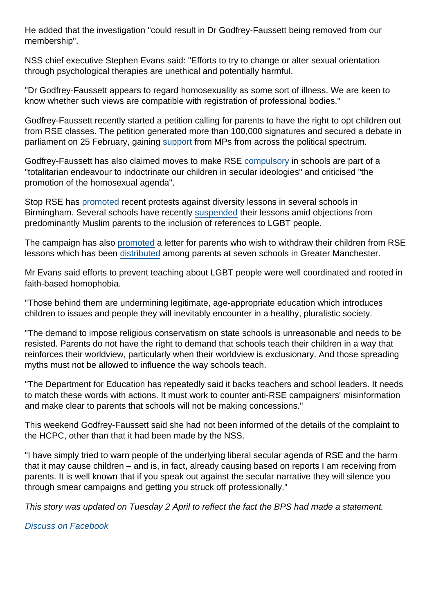He added that the investigation "could result in Dr Godfrey-Faussett being removed from our membership".

NSS chief executive Stephen Evans said: "Efforts to try to change or alter sexual orientation through psychological therapies are unethical and potentially harmful.

"Dr Godfrey-Faussett appears to regard homosexuality as some sort of illness. We are keen to know whether such views are compatible with registration of professional bodies."

Godfrey-Faussett recently started a petition calling for parents to have the right to opt children out from RSE classes. The petition generated more than 100,000 signatures and secured a debate in parliament on 25 February, gaining [support](https://www.secularism.org.uk/opinion/2019/02/the-government-should-stand-up-to-parents-who-want-religious-opt-outs) from MPs from across the political spectrum.

Godfrey-Faussett has also claimed moves to make RSE [compulsory](https://www.secularism.org.uk/news/2019/02/nss-welcomes-updated-guidance-on-relationships-and-sex-education) in schools are part of a "totalitarian endeavour to indoctrinate our children in secular ideologies" and criticised "the promotion of the homosexual agenda".

Stop RSE has [promoted](https://www.secularism.org.uk/uploads/stop-rse-campaign-evidence-dossier.pdf) recent protests against diversity lessons in several schools in Birmingham. Several schools have recently [suspended](https://www.secularism.org.uk/news/2019/03/more-schools-suspend-diversity-teaching-under-muslim-pressure) their lessons amid objections from predominantly Muslim parents to the inclusion of references to LGBT people.

The campaign has also [promoted](https://stoprse.com/index.php/home/sample-letters/withdrawal-letter/) a letter for parents who wish to withdraw their children from RSE lessons which has been [distributed](https://twitter.com/sima_kotecha/status/1108335229008265216) among parents at seven schools in Greater Manchester.

Mr Evans said efforts to prevent teaching about LGBT people were well coordinated and rooted in faith-based homophobia.

"Those behind them are undermining legitimate, age-appropriate education which introduces children to issues and people they will inevitably encounter in a healthy, pluralistic society.

"The demand to impose religious conservatism on state schools is unreasonable and needs to be resisted. Parents do not have the right to demand that schools teach their children in a way that reinforces their worldview, particularly when their worldview is exclusionary. And those spreading myths must not be allowed to influence the way schools teach.

"The Department for Education has repeatedly said it backs teachers and school leaders. It needs to match these words with actions. It must work to counter anti-RSE campaigners' misinformation and make clear to parents that schools will not be making concessions."

This weekend Godfrey-Faussett said she had not been informed of the details of the complaint to the HCPC, other than that it had been made by the NSS.

"I have simply tried to warn people of the underlying liberal secular agenda of RSE and the harm that it may cause children – and is, in fact, already causing based on reports I am receiving from parents. It is well known that if you speak out against the secular narrative they will silence you through smear campaigns and getting you struck off professionally."

This story was updated on Tuesday 2 April to reflect the fact the BPS had made a statement.

[Discuss on Facebook](https://www.facebook.com/NationalSecularSociety/posts/2183989398336066?__xts__[0]=68.ARBFtr58BY-v9l5qk4FrRy1iHvnBtl9V3jfmhzQ_sbzp_QXbcN-12_mCrFr8XNzJeb2p7ghfQmEarlzOy4Y50UztumeOk9WC6-X1S4WRPotitJfN75xDDrWNB8x0BVYolz1rLmflnghMBwhrpvhodS-3gVS5LTRGBReRIHczKurGqtNhlS05ETxmT4Bv2CioUM2ajilRwt5IlnSz0Qfb5DxXbLHT1DObTOYm2-224Zaw-SBF0I_CKj-kPHu8eTFHPqbI915stWnmjma3IS7oiw1SYb8006ViMumFCttRRmYoq5nVhKzRxH_q8UJnmDTsW9RjHYHYPVW70mLKM8tDiJfyEQ&__tn__=-R)